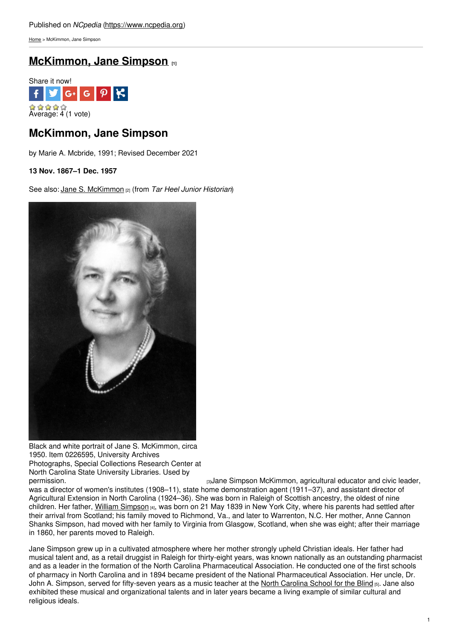[Home](https://www.ncpedia.org/) > McKimmon, Jane Simpson

## **[McKimmon,](https://www.ncpedia.org/biography/mckimmon-jane-simpson) Jane Simpson [1]**



# **McKimmon, Jane Simpson**

by Marie A. Mcbride, 1991; Revised December 2021

## **13 Nov. 1867–1 Dec. 1957**

See also: Jane S. [McKimmon](https://www.ncpedia.org/biography/mckimmon-jane) [2] (from *Tar Heel Junior Historian*)



Black and white portrait of Jane S. McKimmon, circa 1950. Item 0226595, University Archives Photographs, Special Collections Research Center at North Carolina State University Libraries. Used by

[permission.](http://d.lib.ncsu.edu/collections/catalog/0226595) **Example 20** is a subset of the simpson McKimmon, agricultural educator and civic leader, was a director of women's institutes (1908–11), state home demonstration agent (1911–37), and assistant director of Agricultural Extension in North Carolina (1924–36). She was born in Raleigh of Scottish ancestry, the oldest of nine children. Her father, William [Simpson](https://www.ncpedia.org/biography/simpson-william) [4], was born on 21 May 1839 in New York City, where his parents had settled after their arrival from Scotland; his family moved to Richmond, Va., and later to Warrenton, N.C. Her mother, Anne Cannon Shanks Simpson, had moved with her family to Virginia from Glasgow, Scotland, when she was eight; after their marriage in 1860, her parents moved to Raleigh.

Jane Simpson grew up in a cultivated atmosphere where her mother strongly upheld Christian ideals. Her father had musical talent and, as a retail druggist in Raleigh for thirty-eight years, was known nationally as an outstanding pharmacist and as a leader in the formation of the North Carolina Pharmaceutical Association. He conducted one of the first schools of pharmacy in North Carolina and in 1894 became president of the National Pharmaceutical Association. Her uncle, Dr. John A. Simpson, served for fifty-seven years as a music teacher at the North [Carolina](https://www.ncpedia.org/governor-morehead-school) School for the Blind [5]. Jane also exhibited these musical and organizational talents and in later years became a living example of similar cultural and religious ideals.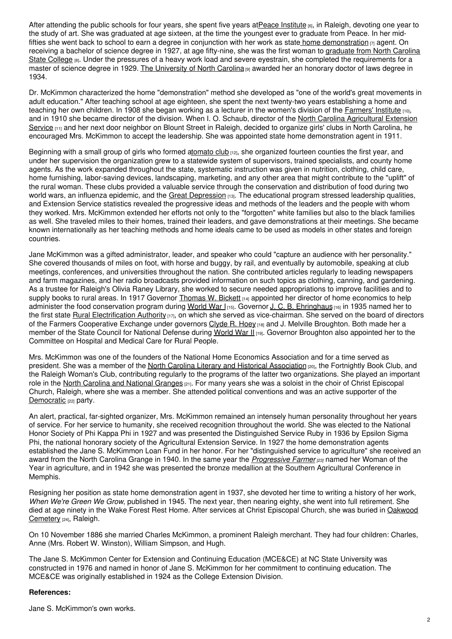After attending the public schools for four years, she spent five years at Peace [Institute](https://www.ncpedia.org/peace-college)  $_{[6]}$ , in Raleigh, devoting one year to the study of art. She was graduated at age sixteen, at the time the youngest ever to graduate from Peace. In her midfifties she went back to school to earn a degree in conjunction with her work as state home [demonstration](https://www.lib.ncsu.edu/specialcollections/greenngrowing/home_demonstration_history.html)  $\eta$  agent. On receiving a bachelor of science degree in 1927, at age fifty-nine, she was the first woman to graduate from North Carolina State College [8]. Under the pressures of a heavy work load and severe eyestrain, she completed the [requirements](https://www.ncpedia.org/north-carolina-state-university) for a master of science degree in 1929. The [University](https://www.ncpedia.org/university-north-carolina-chapel-hi) of North Carolina  $\mathbb{P}^1$  awarded her an honorary doctor of laws degree in 1934.

Dr. McKimmon characterized the home "demonstration" method she developed as "one of the world's great movements in adult education." After teaching school at age eighteen, she spent the next twenty-two years establishing a home and teaching her own children. In 1908 she began working as a lecturer in the women's division of the [Farmers'](https://ncpedia.org/gsearch?query=farmers+institute) Institute [10], and in 1910 she became director of the division. When I. O. Schaub, director of the North Carolina [Agricultural](https://www.ncpedia.org/extension-service) Extension Service  $[11]$  and her next door neighbor on Blount Street in Raleigh, decided to organize girls' clubs in North Carolina, he encouraged Mrs. McKimmon to accept the leadership. She was appointed state home demonstration agent in 1911.

Beginning with a small group of girls who formed [atomato](https://www.ncpedia.org/tomato-clubs) club  $[12]$ , she organized fourteen counties the first year, and under her supervision the organization grew to a statewide system of supervisors, trained specialists, and county home agents. As the work expanded throughout the state, systematic instruction was given in nutrition, clothing, child care, home furnishing, labor-saving devices, landscaping, marketing, and any other area that might contribute to the "uplift" of the rural woman. These clubs provided a valuable service through the conservation and distribution of food during two world wars, an influenza epidemic, and the Great [Depression](https://www.ncpedia.org/great-depression) [13]. The educational program stressed leadership qualities, and Extension Service statistics revealed the progressive ideas and methods of the leaders and the people with whom they worked. Mrs. McKimmon extended her efforts not only to the "forgotten" white families but also to the black families as well. She traveled miles to their homes, trained their leaders, and gave demonstrations at their meetings. She became known internationally as her teaching methods and home ideals came to be used as models in other states and foreign countries.

Jane McKimmon was a gifted administrator, leader, and speaker who could "capture an audience with her personality." She covered thousands of miles on foot, with horse and buggy, by rail, and eventually by automobile, speaking at club meetings, conferences, and universities throughout the nation. She contributed articles regularly to leading newspapers and farm magazines, and her radio broadcasts provided information on such topics as clothing, canning, and gardening. As a trustee for Raleigh's Olivia Raney Library, she worked to secure needed appropriations to improve facilities and to supply books to rural areas. In 1917 Governor [Thomas](https://www.ncpedia.org/biography/bickett-thomas-walter) W. Bickett [14] appointed her director of home economics to help administer the food conservation program during [World](https://www.ncpedia.org/world-war-i) War I<sub>[15]</sub>. Governor J. C. B. [Ehringhaus](https://www.ncpedia.org/biography/ehringhaus-john-christoph) [16] in 1935 named her to the first state Rural [Electrification](https://www.ncpedia.org/north-carolina-rural-electrificatio) Authority [17], on which she served as vice-chairman. She served on the board of directors of the Farmers Cooperative Exchange under governors [Clyde](https://www.ncpedia.org/biography/hoey-clyde-roark) R. Hoey [18] and J. Melville Broughton. Both made her a member of the State Council for National Defense during [World](https://www.ncpedia.org/category/subjects/world-war-ii) War II [19]. Governor Broughton also appointed her to the Committee on Hospital and Medical Care for Rural People.

Mrs. McKimmon was one of the founders of the National Home Economics Association and for a time served as president. She was a member of the North Carolina Literary and Historical [Association](https://www.ncpedia.org/literary-and-historical-association) [20], the Fortnightly Book Club, and the Raleigh Woman's Club, contributing regularly to the programs of the latter two organizations. She played an important role in the North [Carolina](https://www.ncpedia.org/grange) and National Granges [21]. For many years she was a soloist in the choir of Christ Episcopal Church, Raleigh, where she was a member. She attended political conventions and was an active supporter of the [Democratic](https://www.ncpedia.org/democratic-party) [22] party.

An alert, practical, far-sighted organizer, Mrs. McKimmon remained an intensely human personality throughout her years of service. For her service to humanity, she received recognition throughout the world. She was elected to the National Honor Society of Phi Kappa Phi in 1927 and was presented the Distinguished Service Ruby in 1936 by Epsilon Sigma Phi, the national honorary society of the Agricultural Extension Service. In 1927 the home demonstration agents established the Jane S. McKimmon Loan Fund in her honor. For her "distinguished service to agriculture" she received an award from the North Carolina Grange in 1940. In the same year the *[Progressive](https://www.ncpedia.org/progressive-farmer) Farmer [23]* named her Woman of the Year in agriculture, and in 1942 she was presented the bronze medallion at the Southern Agricultural Conference in Memphis.

Resigning her position as state home demonstration agent in 1937, she devoted her time to writing a history of her work, *When We're Green We Grow*, published in 1945. The next year, then nearing eighty, she went into full retirement. She died at age ninety in the Wake Forest Rest Home. After services at Christ [Episcopal](https://www.ncpedia.org/oakwood-cemetery) Church, she was buried in Oakwood Cemetery [24], Raleigh.

On 10 November 1886 she married Charles McKimmon, a prominent Raleigh merchant. They had four children: Charles, Anne (Mrs. Robert W. Winston), William Simpson, and Hugh.

The Jane S. McKimmon Center for Extension and Continuing Education (MCE&CE) at NC State University was constructed in 1976 and named in honor of Jane S. McKimmon for her commitment to continuing education. The MCE&CE was originally established in 1924 as the College Extension Division.

### **References:**

Jane S. McKimmon's own works.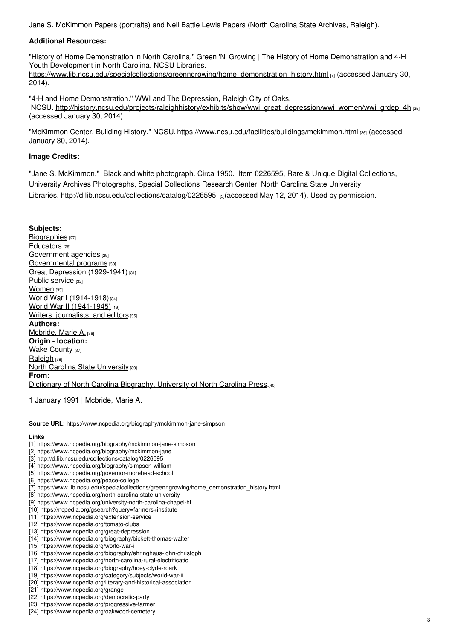Jane S. McKimmon Papers (portraits) and Nell Battle Lewis Papers (North Carolina State Archives, Raleigh).

#### **Additional Resources:**

"History of Home Demonstration in North Carolina." Green 'N' Growing | The History of Home Demonstration and 4-H Youth Development in North Carolina. NCSU Libraries. [https://www.lib.ncsu.edu/specialcollections/greenngrowing/home\\_demonstration\\_history.html](https://www.lib.ncsu.edu/specialcollections/greenngrowing/home_demonstration_history.html)  $_{[7]}$  (accessed January 30, 2014).

"4-H and Home Demonstration." WWI and The Depression, Raleigh City of Oaks. NCSU. http://history.ncsu.edu/projects/raleighhistory/exhibits/show/wwi\_great\_depression/wwi\_women/wwi\_ardep\_4h [25] (accessed January 30, 2014).

"McKimmon Center, Building History." NCSU. <https://www.ncsu.edu/facilities/buildings/mckimmon.html> [26] (accessed January 30, 2014).

#### **Image Credits:**

"Jane S. McKimmon." Black and white photograph. Circa 1950. Item 0226595, Rare & Unique Digital Collections, University Archives Photographs, Special Collections Research Center, North Carolina State University Libraries. <http://d.lib.ncsu.edu/collections/catalog/0226595> [3](accessed May 12, 2014). Used by permission.

### **Subjects:**

[Biographies](https://www.ncpedia.org/category/subjects/biography-term) [27] [Educators](https://www.ncpedia.org/category/subjects/educators) [28] [Government](https://www.ncpedia.org/category/subjects/go) agencies [29] [Governmental](https://www.ncpedia.org/category/subjects/governmental-prog) programs [30] Great Depression [\(1929-1941\)](https://www.ncpedia.org/category/subjects/great-depression-) [31] Public [service](https://www.ncpedia.org/category/subjects/public-service) [32] [Women](https://www.ncpedia.org/category/subjects/women) [33] World War I [\(1914-1918\)](https://www.ncpedia.org/category/subjects/world-war-i)<sup>[34]</sup> World War II [\(1941-1945\)](https://www.ncpedia.org/category/subjects/world-war-ii) [19] Writers, [journalists,](https://www.ncpedia.org/category/subjects/writer) and editors [35] **Authors:** [Mcbride,](https://www.ncpedia.org/category/authors/mcbride-marie) Marie A. [36] **Origin - location:** Wake [County](https://www.ncpedia.org/category/origin-location/piedmont/w) [37] [Raleigh](https://www.ncpedia.org/category/origin-location/piedmont-0) [38] **North Carolina State [University](https://www.ncpedia.org/category/origin-location/piedmon-35) [39] From:** Dictionary of North Carolina [Biography,](https://www.ncpedia.org/category/entry-source/dictionary-no) University of North Carolina Press.[40]

1 January 1991 | Mcbride, Marie A.

**Source URL:** https://www.ncpedia.org/biography/mckimmon-jane-simpson

#### **Links**

- [1] https://www.ncpedia.org/biography/mckimmon-jane-simpson
- [2] https://www.ncpedia.org/biography/mckimmon-jane
- [3] http://d.lib.ncsu.edu/collections/catalog/0226595
- [4] https://www.ncpedia.org/biography/simpson-william
- [5] https://www.ncpedia.org/governor-morehead-school
- [6] https://www.ncpedia.org/peace-college
- [7] https://www.lib.ncsu.edu/specialcollections/greenngrowing/home\_demonstration\_history.html
- [8] https://www.ncpedia.org/north-carolina-state-university
- [9] https://www.ncpedia.org/university-north-carolina-chapel-hi
- [10] https://ncpedia.org/gsearch?query=farmers+institute
- [11] https://www.ncpedia.org/extension-service [12] https://www.ncpedia.org/tomato-clubs
- [13] https://www.ncpedia.org/great-depression
- [14] https://www.ncpedia.org/biography/bickett-thomas-walter
- [15] https://www.ncpedia.org/world-war-i
- [16] https://www.ncpedia.org/biography/ehringhaus-john-christoph
- [17] https://www.ncpedia.org/north-carolina-rural-electrificatio
- [18] https://www.ncpedia.org/biography/hoey-clyde-roark
- [19] https://www.ncpedia.org/category/subjects/world-war-ii
- [20] https://www.ncpedia.org/literary-and-historical-association
- [21] https://www.ncpedia.org/grange
- [22] https://www.ncpedia.org/democratic-party
- [23] https://www.ncpedia.org/progressive-farmer
- [24] https://www.ncpedia.org/oakwood-cemetery